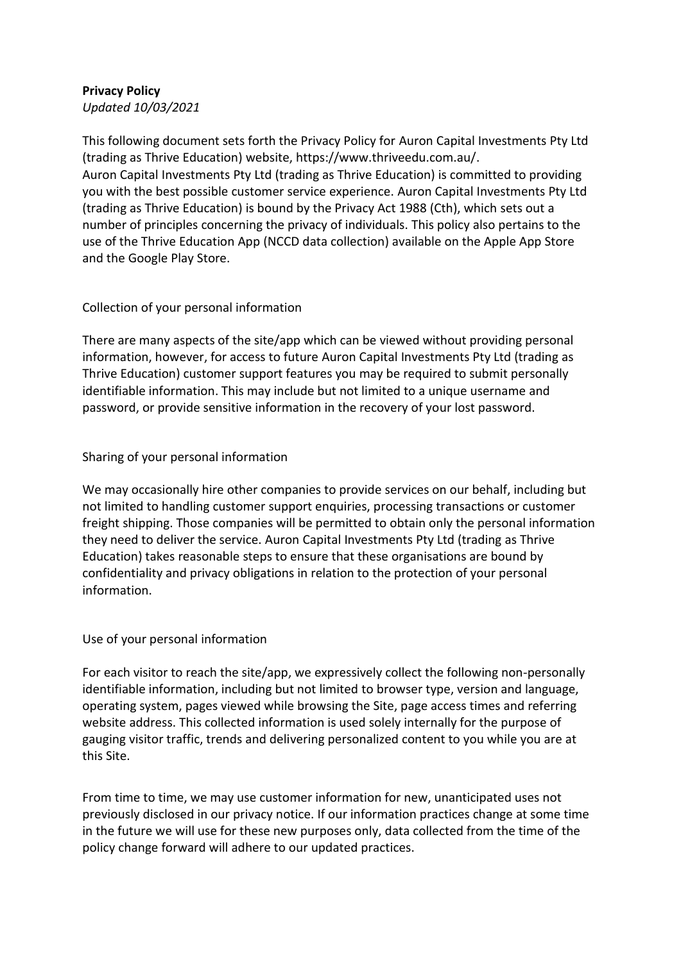# **Privacy Policy**

*Updated 10/03/2021*

This following document sets forth the Privacy Policy for Auron Capital Investments Pty Ltd (trading as Thrive Education) website, https://www.thriveedu.com.au/. Auron Capital Investments Pty Ltd (trading as Thrive Education) is committed to providing you with the best possible customer service experience. Auron Capital Investments Pty Ltd (trading as Thrive Education) is bound by the Privacy Act 1988 (Cth), which sets out a number of principles concerning the privacy of individuals. This policy also pertains to the use of the Thrive Education App (NCCD data collection) available on the Apple App Store and the Google Play Store.

## Collection of your personal information

There are many aspects of the site/app which can be viewed without providing personal information, however, for access to future Auron Capital Investments Pty Ltd (trading as Thrive Education) customer support features you may be required to submit personally identifiable information. This may include but not limited to a unique username and password, or provide sensitive information in the recovery of your lost password.

### Sharing of your personal information

We may occasionally hire other companies to provide services on our behalf, including but not limited to handling customer support enquiries, processing transactions or customer freight shipping. Those companies will be permitted to obtain only the personal information they need to deliver the service. Auron Capital Investments Pty Ltd (trading as Thrive Education) takes reasonable steps to ensure that these organisations are bound by confidentiality and privacy obligations in relation to the protection of your personal information.

#### Use of your personal information

For each visitor to reach the site/app, we expressively collect the following non-personally identifiable information, including but not limited to browser type, version and language, operating system, pages viewed while browsing the Site, page access times and referring website address. This collected information is used solely internally for the purpose of gauging visitor traffic, trends and delivering personalized content to you while you are at this Site.

From time to time, we may use customer information for new, unanticipated uses not previously disclosed in our privacy notice. If our information practices change at some time in the future we will use for these new purposes only, data collected from the time of the policy change forward will adhere to our updated practices.